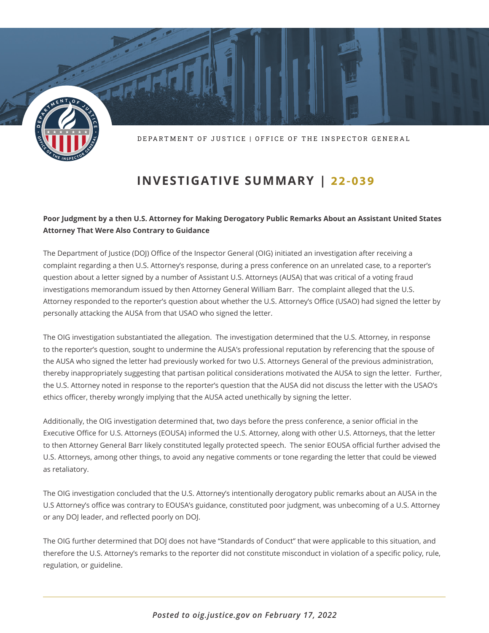

DEPARTMENT OF JUSTICE | OFFICE OF THE INSPECTOR GENERAL

## **INVESTIGATIVE SUMMARY | 22-039**

## **Poor Judgment by a then U.S. Attorney for Making Derogatory Public Remarks About an Assistant United States Attorney That Were Also Contrary to Guidance**

The Department of Justice (DOJ) Office of the Inspector General (OIG) initiated an investigation after receiving a complaint regarding a then U.S. Attorney's response, during a press conference on an unrelated case, to a reporter's question about a letter signed by a number of Assistant U.S. Attorneys (AUSA) that was critical of a voting fraud investigations memorandum issued by then Attorney General William Barr. The complaint alleged that the U.S. Attorney responded to the reporter's question about whether the U.S. Attorney's Office (USAO) had signed the letter by personally attacking the AUSA from that USAO who signed the letter.

The OIG investigation substantiated the allegation. The investigation determined that the U.S. Attorney, in response to the reporter's question, sought to undermine the AUSA's professional reputation by referencing that the spouse of the AUSA who signed the letter had previously worked for two U.S. Attorneys General of the previous administration, thereby inappropriately suggesting that partisan political considerations motivated the AUSA to sign the letter. Further, the U.S. Attorney noted in response to the reporter's question that the AUSA did not discuss the letter with the USAO's ethics officer, thereby wrongly implying that the AUSA acted unethically by signing the letter.

Additionally, the OIG investigation determined that, two days before the press conference, a senior official in the Executive Office for U.S. Attorneys (EOUSA) informed the U.S. Attorney, along with other U.S. Attorneys, that the letter to then Attorney General Barr likely constituted legally protected speech. The senior EOUSA official further advised the U.S. Attorneys, among other things, to avoid any negative comments or tone regarding the letter that could be viewed as retaliatory.

The OIG investigation concluded that the U.S. Attorney's intentionally derogatory public remarks about an AUSA in the U.S Attorney's office was contrary to EOUSA's guidance, constituted poor judgment, was unbecoming of a U.S. Attorney or any DOJ leader, and reflected poorly on DOJ.

The OIG further determined that DOJ does not have "Standards of Conduct" that were applicable to this situation, and therefore the U.S. Attorney's remarks to the reporter did not constitute misconduct in violation of a specific policy, rule, regulation, or guideline.